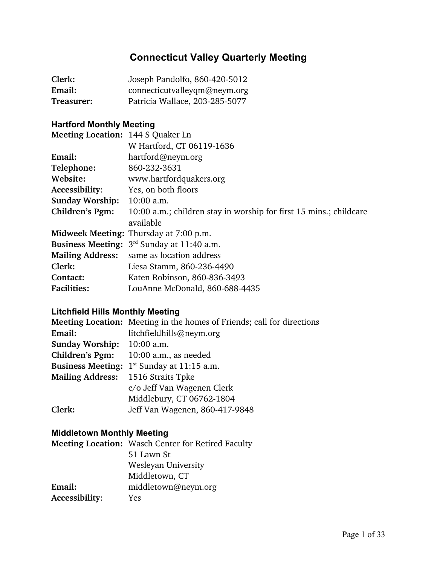# **Connecticut Valley Quarterly Meeting**

| Clerk:     | Joseph Pandolfo, 860-420-5012  |
|------------|--------------------------------|
| Email:     | connecticutvalleyqm@neym.org   |
| Treasurer: | Patricia Wallace, 203-285-5077 |

## **Hartford Monthly Meeting**

| Meeting Location: 144 S Quaker Ln |                                                                    |
|-----------------------------------|--------------------------------------------------------------------|
|                                   | W Hartford, CT 06119-1636                                          |
| Email:                            | hartford@neym.org                                                  |
| Telephone:                        | 860-232-3631                                                       |
| Website:                          | www.hartfordquakers.org                                            |
| Accessibility:                    | Yes, on both floors                                                |
| <b>Sunday Worship:</b>            | $10:00$ a.m.                                                       |
| Children's Pgm:                   | 10:00 a.m.; children stay in worship for first 15 mins.; childcare |
|                                   | available                                                          |
|                                   | <b>Midweek Meeting: Thursday at 7:00 p.m.</b>                      |
|                                   | <b>Business Meeting:</b> $3^{rd}$ Sunday at 11:40 a.m.             |
| <b>Mailing Address:</b>           | same as location address                                           |
| Clerk:                            | Liesa Stamm, 860-236-4490                                          |
| Contact:                          | Katen Robinson, 860-836-3493                                       |
| <b>Facilities:</b>                | LouAnne McDonald, 860-688-4435                                     |

## **Litchfield Hills Monthly Meeting**

|                          | Meeting Location: Meeting in the homes of Friends; call for directions |
|--------------------------|------------------------------------------------------------------------|
| Email:                   | litchfieldhills@neym.org                                               |
| <b>Sunday Worship:</b>   | $10:00$ a.m.                                                           |
| Children's Pgm:          | $10:00$ a.m., as needed                                                |
| <b>Business Meeting:</b> | $1st$ Sunday at 11:15 a.m.                                             |
| <b>Mailing Address:</b>  | 1516 Straits Tpke                                                      |
|                          | c/o Jeff Van Wagenen Clerk                                             |
|                          | Middlebury, CT 06762-1804                                              |
| Clerk:                   | Jeff Van Wagenen, 860-417-9848                                         |

## **Middletown Monthly Meeting**

| <b>Meeting Location:</b> Wasch Center for Retired Faculty |
|-----------------------------------------------------------|
| 51 Lawn St                                                |
| Wesleyan University                                       |
| Middletown, CT                                            |
| middletown@neym.org                                       |
| Yes                                                       |
|                                                           |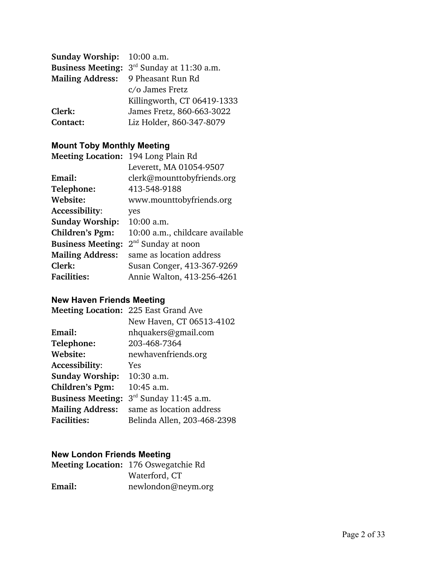| <b>Sunday Worship:</b> 10:00 a.m.  |                                                        |
|------------------------------------|--------------------------------------------------------|
|                                    | <b>Business Meeting:</b> $3^{rd}$ Sunday at 11:30 a.m. |
| Mailing Address: 9 Pheasant Run Rd |                                                        |
|                                    | c/o James Fretz                                        |
|                                    | Killingworth, CT 06419-1333                            |
| Clerk:                             | James Fretz, 860-663-3022                              |
| Contact:                           | Liz Holder, 860-347-8079                               |

## **Mount Toby Monthly Meeting**

| Meeting Location: 194 Long Plain Rd |                                 |
|-------------------------------------|---------------------------------|
|                                     | Leverett, MA 01054-9507         |
| Email:                              | clerk@mounttobyfriends.org      |
| Telephone:                          | 413-548-9188                    |
| Website:                            | www.mounttobyfriends.org        |
| Accessibility:                      | yes                             |
| <b>Sunday Worship:</b>              | $10:00$ a.m.                    |
| Children's Pgm:                     | 10:00 a.m., childcare available |
| <b>Business Meeting:</b>            | 2 <sup>nd</sup> Sunday at noon  |
| <b>Mailing Address:</b>             | same as location address        |
| Clerk:                              | Susan Conger, 413-367-9269      |
| <b>Facilities:</b>                  | Annie Walton, 413-256-4261      |
|                                     |                                 |

# **New Haven Friends Meeting**

|                          | Meeting Location: 225 East Grand Ave |
|--------------------------|--------------------------------------|
|                          | New Haven, CT 06513-4102             |
| Email:                   | nhquakers@gmail.com                  |
| Telephone:               | 203-468-7364                         |
| Website:                 | newhavenfriends.org                  |
| Accessibility:           | Yes                                  |
| <b>Sunday Worship:</b>   | 10:30 a.m.                           |
| Children's Pgm:          | 10:45 a.m.                           |
| <b>Business Meeting:</b> | $3rd$ Sunday 11:45 a.m.              |
| <b>Mailing Address:</b>  | same as location address             |
| <b>Facilities:</b>       | Belinda Allen, 203-468-2398          |

## **New London Friends Meeting**

|        | Meeting Location: 176 Oswegatchie Rd |
|--------|--------------------------------------|
|        | Waterford, CT                        |
| Email: | newlondon@neym.org                   |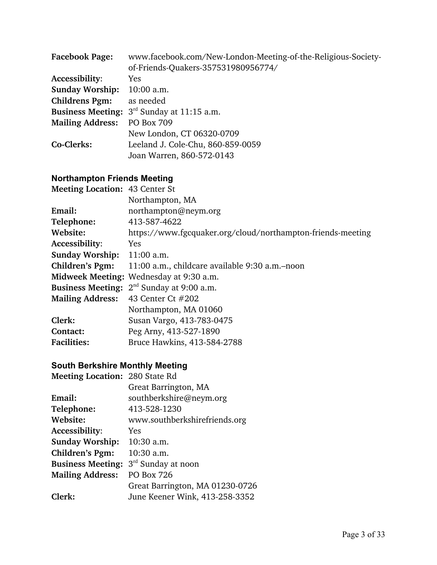| <b>Facebook Page:</b>   | www.facebook.com/New-London-Meeting-of-the-Religious-Society- |
|-------------------------|---------------------------------------------------------------|
|                         | of-Friends-Quakers-357531980956774/                           |
| Accessibility:          | Yes                                                           |
| <b>Sunday Worship:</b>  | 10:00 a.m.                                                    |
| <b>Childrens Pgm:</b>   | as needed                                                     |
|                         | <b>Business Meeting:</b> $3^{rd}$ Sunday at 11:15 a.m.        |
| <b>Mailing Address:</b> | <b>PO Box 709</b>                                             |
|                         | New London, CT 06320-0709                                     |
| Co-Clerks:              | Leeland J. Cole-Chu, 860-859-0059                             |
|                         | Joan Warren, 860-572-0143                                     |

## **Northampton Friends Meeting**

| <b>Meeting Location: 43 Center St</b> |                                                             |  |
|---------------------------------------|-------------------------------------------------------------|--|
|                                       | Northampton, MA                                             |  |
| Email:                                | northampton@neym.org                                        |  |
| Telephone:                            | 413-587-4622                                                |  |
| Website:                              | https://www.fgcquaker.org/cloud/northampton-friends-meeting |  |
| Accessibility:                        | <b>Yes</b>                                                  |  |
| <b>Sunday Worship:</b>                | $11:00$ a.m.                                                |  |
| Children's Pgm:                       | 11:00 a.m., childcare available 9:30 a.m.–noon              |  |
|                                       | Midweek Meeting: Wednesday at 9:30 a.m.                     |  |
|                                       | <b>Business Meeting:</b> $2^{nd}$ Sunday at 9:00 a.m.       |  |
| <b>Mailing Address:</b>               | 43 Center Ct #202                                           |  |
|                                       | Northampton, MA 01060                                       |  |
| Clerk:                                | Susan Vargo, 413-783-0475                                   |  |
| Contact:                              | Peg Arny, 413-527-1890                                      |  |
| <b>Facilities:</b>                    | Bruce Hawkins, 413-584-2788                                 |  |

#### **South Berkshire Monthly Meeting**

| Meeting Location: 280 State Rd |                                 |
|--------------------------------|---------------------------------|
|                                | Great Barrington, MA            |
| Email:                         | southberkshire@neym.org         |
| Telephone:                     | 413-528-1230                    |
| Website:                       | www.southberkshirefriends.org   |
| Accessibility:                 | Yes                             |
| <b>Sunday Worship:</b>         | 10:30 a.m.                      |
| Children's Pgm:                | 10:30 a.m.                      |
| <b>Business Meeting:</b>       | 3 <sup>rd</sup> Sunday at noon  |
| <b>Mailing Address:</b>        | <b>PO Box 726</b>               |
|                                | Great Barrington, MA 01230-0726 |
| Clerk:                         | June Keener Wink, 413-258-3352  |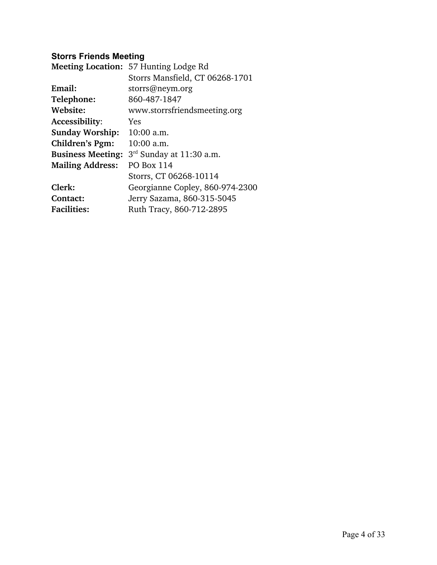## **Storrs Friends Meeting**

|                          | Meeting Location: 57 Hunting Lodge Rd |
|--------------------------|---------------------------------------|
|                          | Storrs Mansfield, CT 06268-1701       |
| Email:                   | storrs@neym.org                       |
| Telephone:               | 860-487-1847                          |
| Website:                 | www.storrsfriendsmeeting.org          |
| Accessibility:           | Yes                                   |
| <b>Sunday Worship:</b>   | 10:00 a.m.                            |
| Children's Pgm:          | 10:00 a.m.                            |
| <b>Business Meeting:</b> | $3rd$ Sunday at 11:30 a.m.            |
| <b>Mailing Address:</b>  | <b>PO Box 114</b>                     |
|                          | Storrs, CT 06268-10114                |
| Clerk:                   | Georgianne Copley, 860-974-2300       |
| Contact:                 | Jerry Sazama, 860-315-5045            |
| <b>Facilities:</b>       | Ruth Tracy, 860-712-2895              |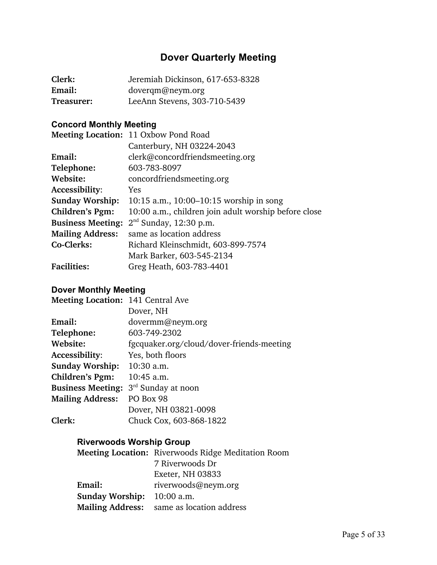# **Dover Quarterly Meeting**

| Clerk:     | Jeremiah Dickinson, 617-653-8328 |
|------------|----------------------------------|
| Email:     | doverqm@neym.org                 |
| Treasurer: | LeeAnn Stevens, 303-710-5439     |

## **Concord Monthly Meeting**

|                          | Meeting Location: 11 Oxbow Pond Road                 |
|--------------------------|------------------------------------------------------|
|                          | Canterbury, NH 03224-2043                            |
| Email:                   | clerk@concordfriendsmeeting.org                      |
| Telephone:               | 603-783-8097                                         |
| Website:                 | concordfriendsmeeting.org                            |
| Accessibility:           | <b>Yes</b>                                           |
| <b>Sunday Worship:</b>   | 10:15 a.m., $10:00-10:15$ worship in song            |
| Children's Pgm:          | 10:00 a.m., children join adult worship before close |
| <b>Business Meeting:</b> | $2nd$ Sunday, 12:30 p.m.                             |
| <b>Mailing Address:</b>  | same as location address                             |
| Co-Clerks:               | Richard Kleinschmidt, 603-899-7574                   |
|                          | Mark Barker, 603-545-2134                            |
| <b>Facilities:</b>       | Greg Heath, 603-783-4401                             |

#### **Dover Monthly Meeting**

| Meeting Location: 141 Central Ave         |
|-------------------------------------------|
| Dover, NH                                 |
| dovermm@neym.org                          |
| 603-749-2302                              |
| fgcquaker.org/cloud/dover-friends-meeting |
| Yes, both floors                          |
| $10:30$ a.m.                              |
| $10:45$ a.m.                              |
| 3 <sup>rd</sup> Sunday at noon            |
| PO Box 98                                 |
| Dover, NH 03821-0098                      |
| Chuck Cox, 603-868-1822                   |
|                                           |

## **Riverwoods Worship Group**

|                        | <b>Meeting Location:</b> Riverwoods Ridge Meditation Room |
|------------------------|-----------------------------------------------------------|
|                        | 7 Riverwoods Dr                                           |
|                        | Exeter, NH 03833                                          |
| Email:                 | riverwoods@neym.org                                       |
| <b>Sunday Worship:</b> | $10:00$ a.m.                                              |
|                        | <b>Mailing Address:</b> same as location address          |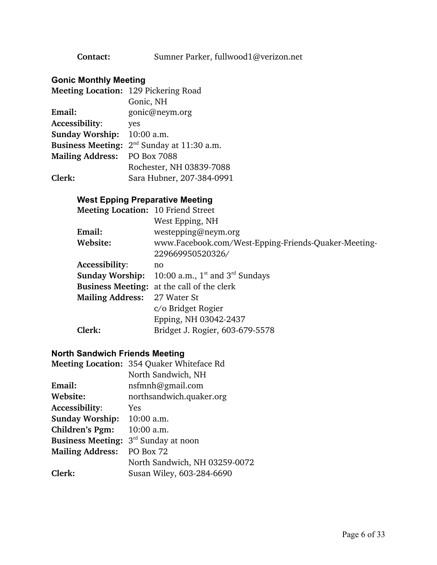**Contact:** Sumner Parker, fullwood1@verizon.net

## **Gonic Monthly Meeting**

| Meeting Location: 129 Pickering Road |
|--------------------------------------|
| Gonic, NH                            |
| gonic@neym.org                       |
| yes                                  |
| 10:00 a.m.                           |
| $2nd$ Sunday at 11:30 a.m.           |
| PO Box 7088                          |
| Rochester, NH 03839-7088             |
| Sara Hubner, 207-384-0991            |
|                                      |

#### **West Epping Preparative Meeting**

| <b>Meeting Location: 10 Friend Street</b> |                                                                  |
|-------------------------------------------|------------------------------------------------------------------|
|                                           | West Epping, NH                                                  |
| Email:                                    | $w$ estepping@neym.org                                           |
| Website:                                  | www.Facebook.com/West-Epping-Friends-Quaker-Meeting-             |
|                                           | 229669950520326/                                                 |
| <b>Accessibility:</b>                     | no                                                               |
|                                           | <b>Sunday Worship:</b> 10:00 a.m., $1^{st}$ and $3^{rd}$ Sundays |
|                                           | <b>Business Meeting:</b> at the call of the clerk                |
| <b>Mailing Address:</b>                   | 27 Water St                                                      |
|                                           | c/o Bridget Rogier                                               |
|                                           | Epping, NH 03042-2437                                            |
| Clerk:                                    | Bridget J. Rogier, 603-679-5578                                  |
|                                           |                                                                  |

#### **North Sandwich Friends Meeting**

|                          | Meeting Location: 354 Quaker Whiteface Rd |
|--------------------------|-------------------------------------------|
|                          | North Sandwich, NH                        |
| Email:                   | nsfmnh@gmail.com                          |
| Website:                 | northsandwich.quaker.org                  |
| Accessibility:           | <b>Yes</b>                                |
| <b>Sunday Worship:</b>   | 10:00 a.m.                                |
| Children's Pgm:          | $10:00$ a.m.                              |
| <b>Business Meeting:</b> | 3 <sup>rd</sup> Sunday at noon            |
| <b>Mailing Address:</b>  | PO Box 72                                 |
|                          | North Sandwich, NH 03259-0072             |
| Clerk:                   | Susan Wiley, 603-284-6690                 |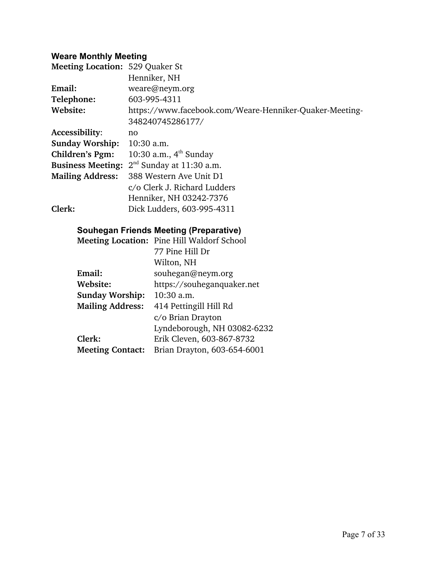#### **Weare Monthly Meeting**

| <b>Meeting Location: 529 Quaker St</b> |                                                         |
|----------------------------------------|---------------------------------------------------------|
|                                        | Henniker, NH                                            |
| Email:                                 | weare@neym.org                                          |
| Telephone:                             | 603-995-4311                                            |
| Website:                               | https://www.facebook.com/Weare-Henniker-Quaker-Meeting- |
|                                        | 348240745286177/                                        |
| Accessibility:                         | no                                                      |
| <b>Sunday Worship:</b>                 | $10:30$ a.m.                                            |
| Children's Pgm:                        | 10:30 a.m., $4th$ Sunday                                |
| <b>Business Meeting:</b>               | $2nd$ Sunday at 11:30 a.m.                              |
| <b>Mailing Address:</b>                | 388 Western Ave Unit D1                                 |
|                                        | c/o Clerk J. Richard Ludders                            |
|                                        | Henniker, NH 03242-7376                                 |
| Clerk:                                 | Dick Ludders, 603-995-4311                              |

# **Souhegan Friends Meeting (Preparative)**

|                         | Meeting Location: Pine Hill Waldorf School |
|-------------------------|--------------------------------------------|
|                         | 77 Pine Hill Dr                            |
|                         | Wilton, NH                                 |
| Email:                  | souhegan@neym.org                          |
| Website:                | https://souheganquaker.net                 |
| <b>Sunday Worship:</b>  | $10:30$ a.m.                               |
| <b>Mailing Address:</b> | 414 Pettingill Hill Rd                     |
|                         | c/o Brian Drayton                          |
|                         | Lyndeborough, NH 03082-6232                |
| Clerk:                  | Erik Cleven, 603-867-8732                  |
| <b>Meeting Contact:</b> | Brian Drayton, 603-654-6001                |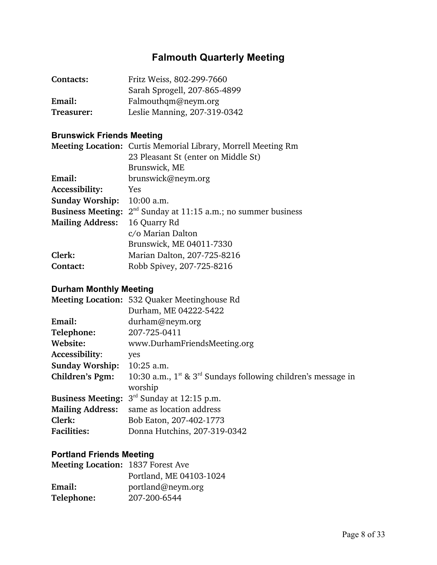# **Falmouth Quarterly Meeting**

| Contacts:  | Fritz Weiss, 802-299-7660    |
|------------|------------------------------|
|            | Sarah Sprogell, 207-865-4899 |
| Email:     | Falmouthqm@neym.org          |
| Treasurer: | Leslie Manning, 207-319-0342 |

## **Brunswick Friends Meeting**

|                          | <b>Meeting Location:</b> Curtis Memorial Library, Morrell Meeting Rm |
|--------------------------|----------------------------------------------------------------------|
|                          | 23 Pleasant St (enter on Middle St)                                  |
|                          | Brunswick, ME                                                        |
| Email:                   | brunswick@neym.org                                                   |
| Accessibility:           | <b>Yes</b>                                                           |
| <b>Sunday Worship:</b>   | $10:00$ a.m.                                                         |
| <b>Business Meeting:</b> | $2nd$ Sunday at 11:15 a.m.; no summer business                       |
| <b>Mailing Address:</b>  | 16 Quarry Rd                                                         |
|                          | c/o Marian Dalton                                                    |
|                          | Brunswick, ME 04011-7330                                             |
| Clerk:                   | Marian Dalton, 207-725-8216                                          |
| Contact:                 | Robb Spivey, 207-725-8216                                            |
|                          |                                                                      |

#### **Durham Monthly Meeting**

| Meeting Location: 532 Quaker Meetinghouse Rd                            |
|-------------------------------------------------------------------------|
| Durham, ME 04222-5422                                                   |
| durham@neym.org                                                         |
| 207-725-0411                                                            |
| www.DurhamFriendsMeeting.org                                            |
| yes                                                                     |
| 10:25 a.m.                                                              |
| 10:30 a.m., $1^{st}$ & $3^{rd}$ Sundays following children's message in |
| worship                                                                 |
| $3rd$ Sunday at 12:15 p.m.                                              |
| same as location address                                                |
| Bob Eaton, 207-402-1773                                                 |
| Donna Hutchins, 207-319-0342                                            |
|                                                                         |

## **Portland Friends Meeting**

| <b>Meeting Location: 1837 Forest Ave.</b> |                         |
|-------------------------------------------|-------------------------|
|                                           | Portland, ME 04103-1024 |
| Email:                                    | portland@neym.org       |
| Telephone:                                | 207-200-6544            |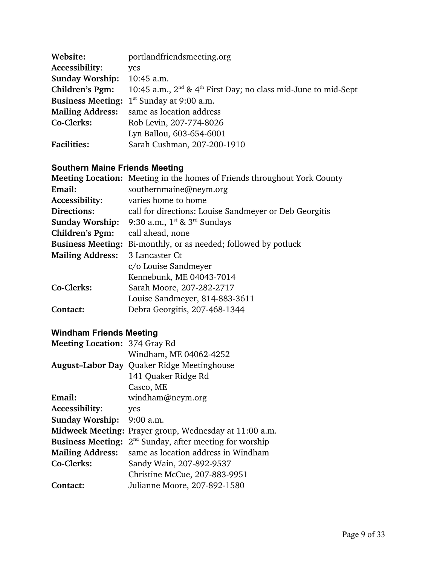| Website:                 | portlandfriendsmeeting.org                                                      |
|--------------------------|---------------------------------------------------------------------------------|
| Accessibility:           | yes                                                                             |
| <b>Sunday Worship:</b>   | 10:45 a.m.                                                                      |
| Children's Pgm:          | 10:45 a.m., $2^{nd}$ & 4 <sup>th</sup> First Day; no class mid-June to mid-Sept |
| <b>Business Meeting:</b> | $1st$ Sunday at 9:00 a.m.                                                       |
| <b>Mailing Address:</b>  | same as location address                                                        |
| Co-Clerks:               | Rob Levin, 207-774-8026                                                         |
|                          | Lyn Ballou, 603-654-6001                                                        |
| <b>Facilities:</b>       | Sarah Cushman, 207-200-1910                                                     |

#### **Southern Maine Friends Meeting**

|                          | Meeting Location: Meeting in the homes of Friends throughout York County |
|--------------------------|--------------------------------------------------------------------------|
| Email:                   | southernmaine@neym.org                                                   |
| Accessibility:           | varies home to home                                                      |
| Directions:              | call for directions: Louise Sandmeyer or Deb Georgitis                   |
| <b>Sunday Worship:</b>   | 9:30 a.m., $1^{st}$ & $3^{rd}$ Sundays                                   |
| Children's Pgm:          | call ahead, none                                                         |
| <b>Business Meeting:</b> | Bi-monthly, or as needed; followed by potluck                            |
| <b>Mailing Address:</b>  | 3 Lancaster Ct                                                           |
|                          | c/o Louise Sandmeyer                                                     |
|                          | Kennebunk, ME 04043-7014                                                 |
| Co-Clerks:               | Sarah Moore, 207-282-2717                                                |
|                          | Louise Sandmeyer, 814-883-3611                                           |
| Contact:                 | Debra Georgitis, 207-468-1344                                            |
|                          |                                                                          |

#### **Windham Friends Meeting**

| Meeting Location: 374 Gray Rd |                                                   |
|-------------------------------|---------------------------------------------------|
|                               | Windham, ME 04062-4252                            |
|                               | <b>August-Labor Day Quaker Ridge Meetinghouse</b> |
|                               | 141 Quaker Ridge Rd                               |
|                               | Casco, ME                                         |
| Email:                        | windham@neym.org                                  |
| Accessibility:                | yes                                               |
| <b>Sunday Worship:</b>        | $9:00$ a.m.                                       |
| <b>Midweek Meeting:</b>       | Prayer group, Wednesday at 11:00 a.m.             |
| <b>Business Meeting:</b>      | $2nd$ Sunday, after meeting for worship           |
| <b>Mailing Address:</b>       | same as location address in Windham               |
| Co-Clerks:                    | Sandy Wain, 207-892-9537                          |
|                               | Christine McCue, 207-883-9951                     |
| Contact:                      | Julianne Moore, 207-892-1580                      |
|                               |                                                   |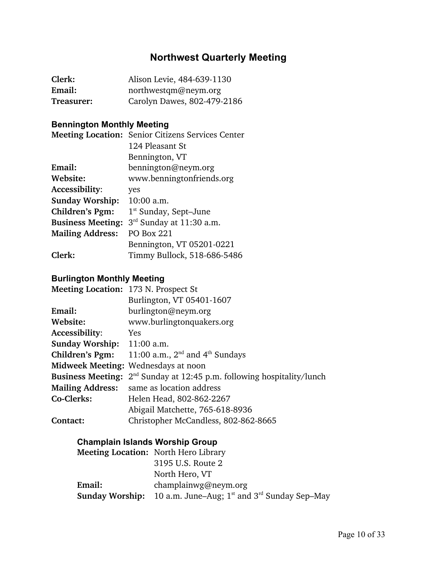# **Northwest Quarterly Meeting**

| Clerk:     | Alison Levie, 484-639-1130  |
|------------|-----------------------------|
| Email:     | northwestqm@neym.org        |
| Treasurer: | Carolyn Dawes, 802-479-2186 |

## **Bennington Monthly Meeting**

|                          | <b>Meeting Location:</b> Senior Citizens Services Center |
|--------------------------|----------------------------------------------------------|
|                          | 124 Pleasant St                                          |
|                          | Bennington, VT                                           |
| Email:                   | bennington@neym.org                                      |
| Website:                 | www.benningtonfriends.org                                |
| <b>Accessibility:</b>    | yes                                                      |
| <b>Sunday Worship:</b>   | 10:00 a.m.                                               |
| Children's Pgm:          | $1st$ Sunday, Sept-June                                  |
| <b>Business Meeting:</b> | $3rd$ Sunday at 11:30 a.m.                               |
| <b>Mailing Address:</b>  | <b>PO Box 221</b>                                        |
|                          | Bennington, VT 05201-0221                                |
| Clerk:                   | Timmy Bullock, 518-686-5486                              |

#### **Burlington Monthly Meeting**

| Meeting Location: 173 N. Prospect St |                                                        |
|--------------------------------------|--------------------------------------------------------|
|                                      | Burlington, VT 05401-1607                              |
| Email:                               | burlington@neym.org                                    |
| Website:                             | www.burlingtonquakers.org                              |
| Accessibility:                       | <b>Yes</b>                                             |
| <b>Sunday Worship:</b> 11:00 a.m.    |                                                        |
| <b>Children's Pgm:</b>               | 11:00 a.m., $2nd$ and $4th$ Sundays                    |
|                                      | Midweek Meeting: Wednesdays at noon                    |
| <b>Business Meeting:</b>             | $2nd$ Sunday at 12:45 p.m. following hospitality/lunch |
| <b>Mailing Address:</b>              | same as location address                               |
| Co-Clerks:                           | Helen Head, 802-862-2267                               |
|                                      | Abigail Matchette, 765-618-8936                        |
| Contact:                             | Christopher McCandless, 802-862-8665                   |
|                                      |                                                        |

## **Champlain Islands Worship Group**

|        | <b>Meeting Location:</b> North Hero Library                             |
|--------|-------------------------------------------------------------------------|
|        | 3195 U.S. Route 2                                                       |
|        | North Hero, VT                                                          |
| Email: | champlainwg@neym.org                                                    |
|        | <b>Sunday Worship:</b> 10 a.m. June–Aug; $1st$ and $3rd$ Sunday Sep–May |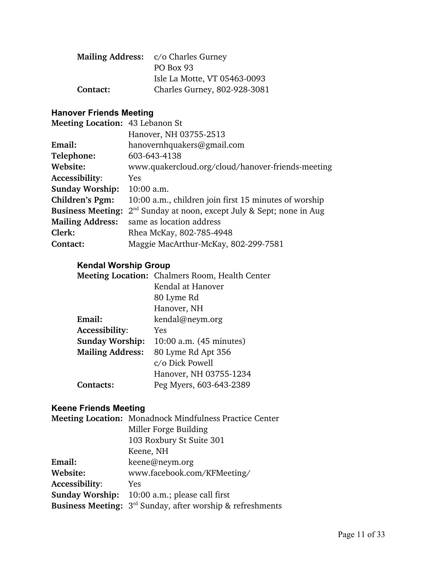|          | Mailing Address: c/o Charles Gurney |
|----------|-------------------------------------|
|          | PO Box 93                           |
|          | Isle La Motte, VT 05463-0093        |
| Contact: | Charles Gurney, 802-928-3081        |

## **Hanover Friends Meeting**

| Meeting Location: 43 Lebanon St |                                                       |
|---------------------------------|-------------------------------------------------------|
|                                 | Hanover, NH 03755-2513                                |
| Email:                          | hanovernhquakers@gmail.com                            |
| Telephone:                      | 603-643-4138                                          |
| Website:                        | www.quakercloud.org/cloud/hanover-friends-meeting     |
| Accessibility:                  | Yes.                                                  |
| <b>Sunday Worship:</b>          | $10:00$ a.m.                                          |
| Children's Pgm:                 | 10:00 a.m., children join first 15 minutes of worship |
| <b>Business Meeting:</b>        | $2nd$ Sunday at noon, except July & Sept; none in Aug |
| <b>Mailing Address:</b>         | same as location address                              |
| Clerk:                          | Rhea McKay, 802-785-4948                              |
| Contact:                        | Maggie MacArthur-McKay, 802-299-7581                  |

# **Kendal Worship Group**

|                         | <b>Meeting Location: Chalmers Room, Health Center</b> |
|-------------------------|-------------------------------------------------------|
|                         | Kendal at Hanover                                     |
|                         | 80 Lyme Rd                                            |
|                         | Hanover, NH                                           |
| Email:                  | kendal@neym.org                                       |
| Accessibility:          | Yes                                                   |
| <b>Sunday Worship:</b>  | 10:00 a.m. (45 minutes)                               |
| <b>Mailing Address:</b> | 80 Lyme Rd Apt 356                                    |
|                         | c/o Dick Powell                                       |
|                         | Hanover, NH 03755-1234                                |
| Contacts:               | Peg Myers, 603-643-2389                               |
|                         |                                                       |

## **Keene Friends Meeting**

|                        | Meeting Location: Monadnock Mindfulness Practice Center                |
|------------------------|------------------------------------------------------------------------|
|                        | Miller Forge Building                                                  |
|                        | 103 Roxbury St Suite 301                                               |
|                        | Keene, NH                                                              |
| Email:                 | keene@neym.org                                                         |
| Website:               | www.facebook.com/KFMeeting/                                            |
| Accessibility:         | Yes                                                                    |
| <b>Sunday Worship:</b> | 10:00 a.m.; please call first                                          |
|                        | Business Meeting: 3 <sup>rd</sup> Sunday, after worship & refreshments |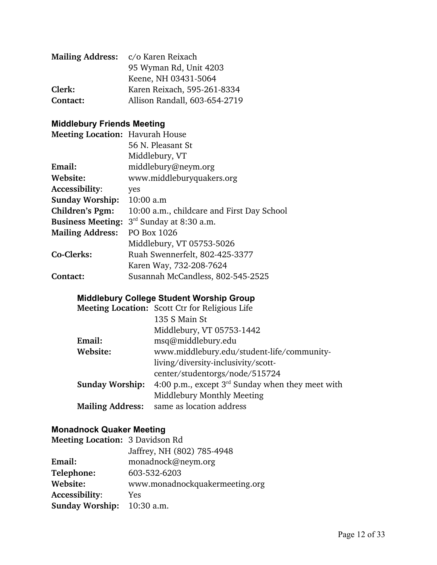|          | Mailing Address: c/o Karen Reixach |
|----------|------------------------------------|
|          | 95 Wyman Rd, Unit 4203             |
|          | Keene, NH 03431-5064               |
| Clerk:   | Karen Reixach, 595-261-8334        |
| Contact: | Allison Randall, 603-654-2719      |

## **Middlebury Friends Meeting**

| <b>Meeting Location: Havurah House</b> |                                            |
|----------------------------------------|--------------------------------------------|
|                                        | 56 N. Pleasant St                          |
|                                        | Middlebury, VT                             |
| Email:                                 | middlebury@neym.org                        |
| Website:                               | www.middleburyquakers.org                  |
| Accessibility:                         | yes                                        |
| <b>Sunday Worship:</b>                 | 10:00 a.m                                  |
| Children's Pgm:                        | 10:00 a.m., childcare and First Day School |
| <b>Business Meeting:</b>               | 3 <sup>rd</sup> Sunday at 8:30 a.m.        |
| <b>Mailing Address:</b>                | PO Box 1026                                |
|                                        | Middlebury, VT 05753-5026                  |
| Co-Clerks:                             | Ruah Swennerfelt, 802-425-3377             |
|                                        | Karen Way, 732-208-7624                    |
| Contact:                               | Susannah McCandless, 802-545-2525          |

## **Middlebury College Student Worship Group**

|                         | Meeting Location: Scott Ctr for Religious Life        |
|-------------------------|-------------------------------------------------------|
|                         | 135 S Main St                                         |
|                         | Middlebury, VT 05753-1442                             |
| Email:                  | msq@middlebury.edu                                    |
| Website:                | www.middlebury.edu/student-life/community-            |
|                         | living/diversity-inclusivity/scott-                   |
|                         | center/studentorgs/node/515724                        |
| <b>Sunday Worship:</b>  | 4:00 p.m., except $3^{rd}$ Sunday when they meet with |
|                         | Middlebury Monthly Meeting                            |
| <b>Mailing Address:</b> | same as location address                              |

# **Monadnock Quaker Meeting**

| Meeting Location: 3 Davidson Rd |                                |
|---------------------------------|--------------------------------|
|                                 | Jaffrey, NH (802) 785-4948     |
| Email:                          | monadnock@neym.org             |
| Telephone:                      | 603-532-6203                   |
| Website:                        | www.monadnockquakermeeting.org |
| Accessibility:                  | <b>Yes</b>                     |
| <b>Sunday Worship:</b>          | 10:30 a.m.                     |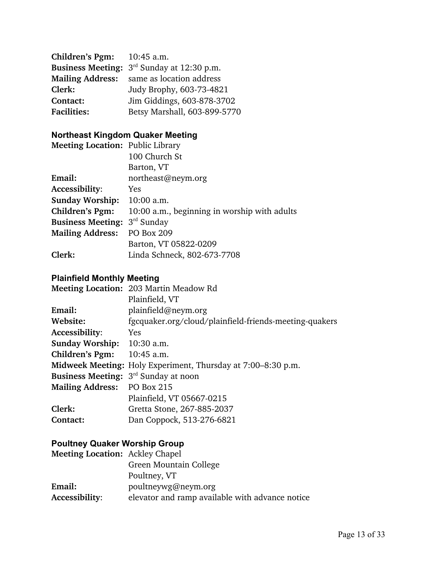| Children's Pgm:    | $10:45$ a.m.                                           |
|--------------------|--------------------------------------------------------|
|                    | <b>Business Meeting:</b> $3^{rd}$ Sunday at 12:30 p.m. |
|                    | <b>Mailing Address:</b> same as location address       |
| Clerk:             | Judy Brophy, 603-73-4821                               |
| Contact:           | Jim Giddings, 603-878-3702                             |
| <b>Facilities:</b> | Betsy Marshall, 603-899-5770                           |

## **Northeast Kingdom Quaker Meeting**

| <b>Meeting Location: Public Library</b> |                                              |
|-----------------------------------------|----------------------------------------------|
|                                         | 100 Church St                                |
|                                         | Barton, VT                                   |
| Email:                                  | northeast@neym.org                           |
| Accessibility:                          | <b>Yes</b>                                   |
| <b>Sunday Worship:</b>                  | $10:00$ a.m.                                 |
| Children's Pgm:                         | 10:00 a.m., beginning in worship with adults |
| <b>Business Meeting: 3rd Sunday</b>     |                                              |
| <b>Mailing Address:</b>                 | <b>PO Box 209</b>                            |
|                                         | Barton, VT 05822-0209                        |
| Clerk:                                  | Linda Schneck, 802-673-7708                  |
|                                         |                                              |

#### **Plainfield Monthly Meeting**

|                                                  | <b>Meeting Location: 203 Martin Meadow Rd</b>                |
|--------------------------------------------------|--------------------------------------------------------------|
|                                                  | Plainfield, VT                                               |
| Email:                                           | plainfield@newm.org                                          |
| Website:                                         | fgcquaker.org/cloud/plainfield-friends-meeting-quakers       |
| Accessibility:                                   | Yes                                                          |
| Sunday Worship: 10:30 a.m.                       |                                                              |
| Children's Pgm: $10:45$ a.m.                     |                                                              |
|                                                  | Midweek Meeting: Holy Experiment, Thursday at 7:00–8:30 p.m. |
| <b>Business Meeting:</b> $3^{rd}$ Sunday at noon |                                                              |
| Mailing Address: PO Box 215                      |                                                              |
|                                                  | Plainfield, VT 05667-0215                                    |
| Clerk:                                           | Gretta Stone, 267-885-2037                                   |
| Contact:                                         | Dan Coppock, 513-276-6821                                    |

## **Poultney Quaker Worship Group**

| <b>Meeting Location: Ackley Chapel</b> |                                                 |  |
|----------------------------------------|-------------------------------------------------|--|
|                                        | Green Mountain College                          |  |
|                                        | Poultney, VT                                    |  |
| Email:                                 | poultneywg@neym.org                             |  |
| Accessibility:                         | elevator and ramp available with advance notice |  |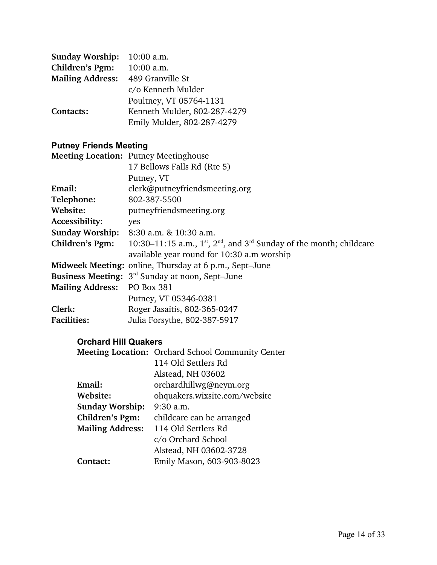| <b>Sunday Worship:</b>  | $10:00$ a.m.                 |
|-------------------------|------------------------------|
| Children's Pgm:         | 10:00 a.m.                   |
| <b>Mailing Address:</b> | 489 Granville St             |
|                         | c/o Kenneth Mulder           |
|                         | Poultney, VT 05764-1131      |
| Contacts:               | Kenneth Mulder, 802-287-4279 |
|                         | Emily Mulder, 802-287-4279   |

# **Putney Friends Meeting**

|                             | <b>Meeting Location: Putney Meetinghouse</b>                                        |  |
|-----------------------------|-------------------------------------------------------------------------------------|--|
|                             | 17 Bellows Falls Rd (Rte 5)                                                         |  |
|                             | Putney, VT                                                                          |  |
| Email:                      | clerk@putneyfriendsmeeting.org                                                      |  |
| Telephone:                  | 802-387-5500                                                                        |  |
| Website:                    | putneyfriendsmeeting.org                                                            |  |
| Accessibility:              | yes                                                                                 |  |
|                             | <b>Sunday Worship:</b> 8:30 a.m. & 10:30 a.m.                                       |  |
| Children's Pgm:             | 10:30–11:15 a.m., $1^{st}$ , $2^{nd}$ , and $3^{rd}$ Sunday of the month; childcare |  |
|                             | available year round for 10:30 a.m worship                                          |  |
|                             | Midweek Meeting: online, Thursday at 6 p.m., Sept-June                              |  |
|                             | <b>Business Meeting:</b> 3 <sup>rd</sup> Sunday at noon, Sept-June                  |  |
| Mailing Address: PO Box 381 |                                                                                     |  |
|                             | Putney, VT 05346-0381                                                               |  |
| Clerk:                      | Roger Jasaitis, 802-365-0247                                                        |  |
| <b>Facilities:</b>          | Julia Forsythe, 802-387-5917                                                        |  |

#### **Orchard Hill Quakers**

|                         | <b>Meeting Location:</b> Orchard School Community Center |
|-------------------------|----------------------------------------------------------|
|                         | 114 Old Settlers Rd                                      |
|                         | Alstead, NH 03602                                        |
| Email:                  | orchardhillwg@neym.org                                   |
| Website:                | ohquakers.wixsite.com/website                            |
| <b>Sunday Worship:</b>  | $9:30$ a.m.                                              |
| Children's Pgm:         | childcare can be arranged                                |
| <b>Mailing Address:</b> | 114 Old Settlers Rd                                      |
|                         | c/o Orchard School                                       |
|                         | Alstead, NH 03602-3728                                   |
| Contact:                | Emily Mason, 603-903-8023                                |
|                         |                                                          |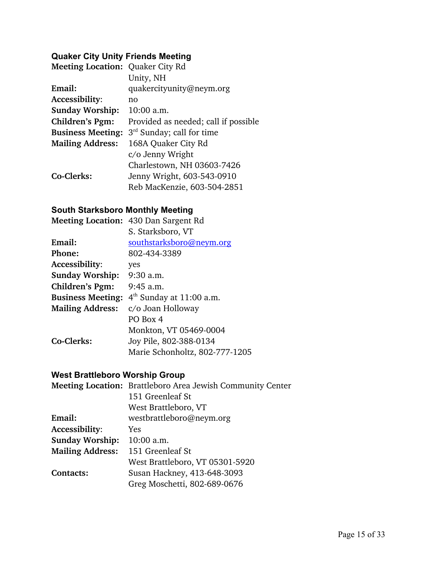## **Quaker City Unity Friends Meeting**

| <b>Meeting Location: Quaker City Rd</b> |                                       |
|-----------------------------------------|---------------------------------------|
|                                         | Unity, NH                             |
| Email:                                  | quakercityunity@neym.org              |
| Accessibility:                          | no                                    |
| <b>Sunday Worship:</b>                  | 10:00 a.m.                            |
| Children's Pgm:                         | Provided as needed; call if possible  |
| <b>Business Meeting:</b>                | 3 <sup>rd</sup> Sunday; call for time |
| <b>Mailing Address:</b>                 | 168A Quaker City Rd                   |
|                                         | c/o Jenny Wright                      |
|                                         | Charlestown, NH 03603-7426            |
| Co-Clerks:                              | Jenny Wright, 603-543-0910            |
|                                         | Reb MacKenzie, 603-504-2851           |

## **South Starksboro Monthly Meeting**

|                          | <b>Meeting Location: 430 Dan Sargent Rd</b> |
|--------------------------|---------------------------------------------|
|                          | S. Starksboro, VT                           |
| Email:                   | southstarksboro@neym.org                    |
| Phone:                   | 802-434-3389                                |
| Accessibility:           | yes                                         |
| <b>Sunday Worship:</b>   | 9:30 a.m.                                   |
| Children's Pgm:          | $9:45$ a.m.                                 |
| <b>Business Meeting:</b> | $4th$ Sunday at 11:00 a.m.                  |
| <b>Mailing Address:</b>  | c/o Joan Holloway                           |
|                          | PO Box 4                                    |
|                          | Monkton, VT 05469-0004                      |
| Co-Clerks:               | Joy Pile, 802-388-0134                      |
|                          | Marie Schonholtz, 802-777-1205              |

## **West Brattleboro Worship Group**

|                         | Meeting Location: Brattleboro Area Jewish Community Center |
|-------------------------|------------------------------------------------------------|
|                         | 151 Greenleaf St                                           |
|                         | West Brattleboro, VT                                       |
| Email:                  | westbrattleboro@neym.org                                   |
| Accessibility:          | Yes                                                        |
| <b>Sunday Worship:</b>  | $10:00$ a.m.                                               |
| <b>Mailing Address:</b> | 151 Greenleaf St                                           |
|                         | West Brattleboro, VT 05301-5920                            |
| Contacts:               | Susan Hackney, 413-648-3093                                |
|                         | Greg Moschetti, 802-689-0676                               |
|                         |                                                            |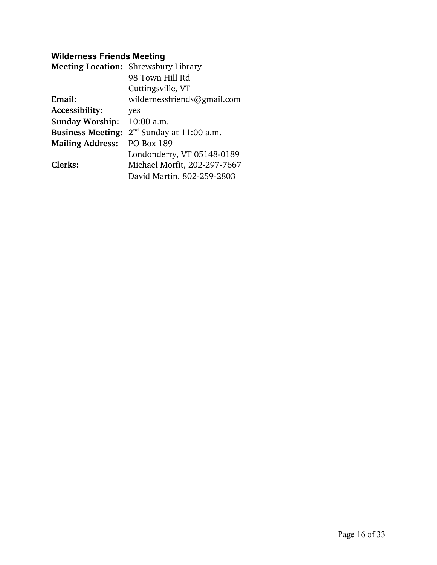## **Wilderness Friends Meeting**

|                          | <b>Meeting Location: Shrewsbury Library</b> |
|--------------------------|---------------------------------------------|
|                          | 98 Town Hill Rd                             |
|                          | Cuttingsville, VT                           |
| Email:                   | wildernessfriends@gmail.com                 |
| Accessibility:           | yes                                         |
| <b>Sunday Worship:</b>   | $10:00$ a.m.                                |
| <b>Business Meeting:</b> | $2nd$ Sunday at 11:00 a.m.                  |
| <b>Mailing Address:</b>  | <b>PO Box 189</b>                           |
|                          | Londonderry, VT 05148-0189                  |
| Clerks:                  | Michael Morfit, 202-297-7667                |
|                          | David Martin, 802-259-2803                  |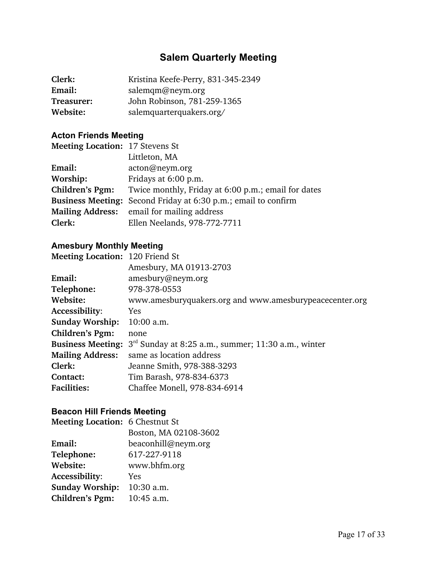# **Salem Quarterly Meeting**

| Clerk:     | Kristina Keefe-Perry, 831-345-2349 |
|------------|------------------------------------|
| Email:     | salemqm@neym.org                   |
| Treasurer: | John Robinson, 781-259-1365        |
| Website:   | salemquarterquakers.org/           |

## **Acton Friends Meeting**

| <b>Meeting Location: 17 Stevens St</b>                         |
|----------------------------------------------------------------|
| Littleton, MA                                                  |
| acton@neym.org                                                 |
| Fridays at 6:00 p.m.                                           |
| Twice monthly, Friday at 6:00 p.m.; email for dates            |
| Business Meeting: Second Friday at 6:30 p.m.; email to confirm |
| Mailing Address: email for mailing address                     |
| Ellen Neelands, 978-772-7711                                   |
|                                                                |

## **Amesbury Monthly Meeting**

| Meeting Location: 120 Friend St                                                |
|--------------------------------------------------------------------------------|
| Amesbury, MA 01913-2703                                                        |
| amesbury@neym.org                                                              |
| 978-378-0553                                                                   |
| www.amesburyquakers.org and www.amesburypeacecenter.org                        |
| Yes                                                                            |
| $10:00$ a.m.                                                                   |
| none                                                                           |
| <b>Business Meeting:</b> $3rd$ Sunday at 8:25 a.m., summer; 11:30 a.m., winter |
| same as location address                                                       |
| Jeanne Smith, 978-388-3293                                                     |
| Tim Barash, 978-834-6373                                                       |
| Chaffee Monell, 978-834-6914                                                   |
|                                                                                |

## **Beacon Hill Friends Meeting**

| <b>Meeting Location: 6 Chestnut St</b> |                       |
|----------------------------------------|-----------------------|
|                                        | Boston, MA 02108-3602 |
| Email:                                 | beaconhill@neym.org   |
| Telephone:                             | 617-227-9118          |
| Website:                               | www.bhfm.org          |
| <b>Accessibility:</b>                  | Yes                   |
| <b>Sunday Worship:</b>                 | 10:30 a.m.            |
| <b>Children's Pgm:</b>                 | 10:45 a.m.            |
|                                        |                       |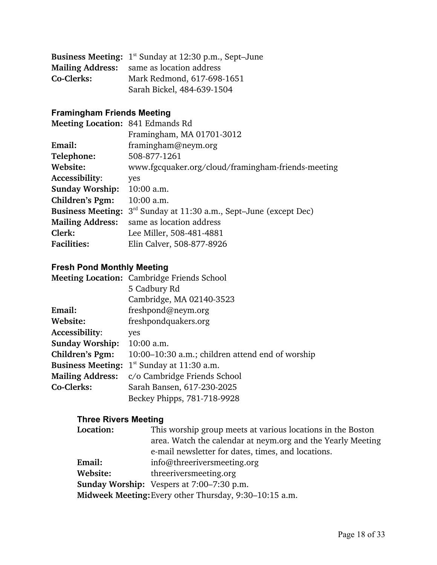|            | <b>Business Meeting:</b> $1^{st}$ Sunday at 12:30 p.m., Sept-June |
|------------|-------------------------------------------------------------------|
|            | <b>Mailing Address:</b> same as location address                  |
| Co-Clerks: | Mark Redmond, 617-698-1651                                        |
|            | Sarah Bickel, 484-639-1504                                        |

# **Framingham Friends Meeting**

| Meeting Location: 841 Edmands Rd                                            |
|-----------------------------------------------------------------------------|
| Framingham, MA 01701-3012                                                   |
| framingham@neym.org                                                         |
| 508-877-1261                                                                |
| www.fgcquaker.org/cloud/framingham-friends-meeting                          |
| yes                                                                         |
| $10:00$ a.m.                                                                |
| $10:00$ a.m.                                                                |
| <b>Business Meeting:</b> $3rd$ Sunday at 11:30 a.m., Sept-June (except Dec) |
| same as location address                                                    |
| Lee Miller, 508-481-4881                                                    |
| Elin Calver, 508-877-8926                                                   |
|                                                                             |

## **Fresh Pond Monthly Meeting**

|                          | Meeting Location: Cambridge Friends School       |
|--------------------------|--------------------------------------------------|
|                          | 5 Cadbury Rd                                     |
|                          | Cambridge, MA 02140-3523                         |
| Email:                   | freshpond@neym.org                               |
| Website:                 | freshpondquakers.org                             |
| Accessibility:           | yes                                              |
| <b>Sunday Worship:</b>   | 10:00 a.m.                                       |
| Children's Pgm:          | 10:00–10:30 a.m.; children attend end of worship |
| <b>Business Meeting:</b> | $1st$ Sunday at 11:30 a.m.                       |
| <b>Mailing Address:</b>  | c/o Cambridge Friends School                     |
| Co-Clerks:               | Sarah Bansen, 617-230-2025                       |
|                          | Beckey Phipps, 781-718-9928                      |

#### **Three Rivers Meeting**

| <b>Location:</b>                                       | This worship group meets at various locations in the Boston |
|--------------------------------------------------------|-------------------------------------------------------------|
|                                                        | area. Watch the calendar at neym.org and the Yearly Meeting |
|                                                        | e-mail newsletter for dates, times, and locations.          |
| Email:                                                 | info@threerivers meeting.org                                |
| Website:                                               | threeriversmeeting.org                                      |
|                                                        | <b>Sunday Worship:</b> Vespers at 7:00–7:30 p.m.            |
| Midweek Meeting: Every other Thursday, 9:30–10:15 a.m. |                                                             |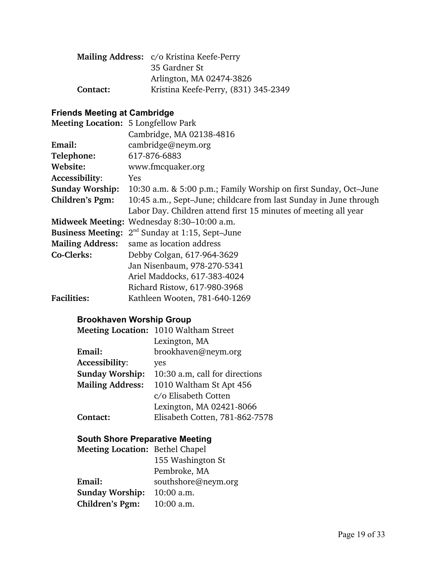|          | Mailing Address: c/o Kristina Keefe-Perry |
|----------|-------------------------------------------|
|          | 35 Gardner St                             |
|          | Arlington, MA 02474-3826                  |
| Contact: | Kristina Keefe-Perry, (831) 345-2349      |

## **Friends Meeting at Cambridge**

| <b>Meeting Location: 5 Longfellow Park</b> |                                                                   |
|--------------------------------------------|-------------------------------------------------------------------|
|                                            | Cambridge, MA 02138-4816                                          |
| Email:                                     | cambridge@neym.org                                                |
| Telephone:                                 | 617-876-6883                                                      |
| Website:                                   | www.fmcquaker.org                                                 |
| Accessibility:                             | Yes                                                               |
| <b>Sunday Worship:</b>                     | 10:30 a.m. & 5:00 p.m.; Family Worship on first Sunday, Oct-June  |
| Children's Pgm:                            | 10:45 a.m., Sept-June; childcare from last Sunday in June through |
|                                            | Labor Day. Children attend first 15 minutes of meeting all year   |
|                                            | Midweek Meeting: Wednesday 8:30–10:00 a.m.                        |
|                                            | <b>Business Meeting:</b> $2^{nd}$ Sunday at 1:15, Sept-June       |
| <b>Mailing Address:</b>                    | same as location address                                          |
| Co-Clerks:                                 | Debby Colgan, 617-964-3629                                        |
|                                            | Jan Nisenbaum, 978-270-5341                                       |
|                                            | Ariel Maddocks, 617-383-4024                                      |
|                                            | Richard Ristow, 617-980-3968                                      |
| <b>Facilities:</b>                         | Kathleen Wooten, 781-640-1269                                     |
|                                            |                                                                   |

## **Brookhaven Worship Group**

|                         | Meeting Location: 1010 Waltham Street |
|-------------------------|---------------------------------------|
|                         | Lexington, MA                         |
| Email:                  | brookhaven@neym.org                   |
| Accessibility:          | yes                                   |
| <b>Sunday Worship:</b>  | 10:30 a.m. call for directions        |
| <b>Mailing Address:</b> | 1010 Waltham St Apt 456               |
|                         | c/o Elisabeth Cotten                  |
|                         | Lexington, MA 02421-8066              |
| Contact:                | Elisabeth Cotten, 781-862-7578        |
|                         |                                       |

## **South Shore Preparative Meeting**

| <b>Meeting Location: Bethel Chapel</b> |                     |
|----------------------------------------|---------------------|
|                                        | 155 Washington St   |
|                                        | Pembroke, MA        |
| Email:                                 | southshore@neym.org |
| <b>Sunday Worship:</b>                 | 10:00 a.m.          |
| Children's Pgm:                        | $10:00$ a.m.        |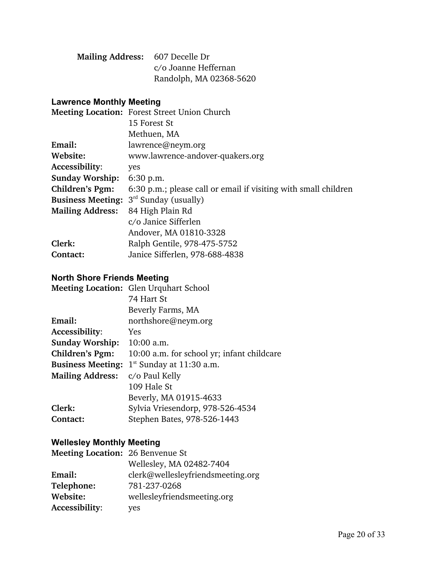| Mailing Address: 607 Decelle Dr |                         |
|---------------------------------|-------------------------|
|                                 | c/o Joanne Heffernan    |
|                                 | Randolph, MA 02368-5620 |

#### **Lawrence Monthly Meeting**

|                          | Meeting Location: Forest Street Union Church                    |
|--------------------------|-----------------------------------------------------------------|
|                          | 15 Forest St                                                    |
|                          | Methuen, MA                                                     |
| Email:                   | lawrence@neym.org                                               |
| Website:                 | www.lawrence-andover-quakers.org                                |
| Accessibility:           | yes                                                             |
| <b>Sunday Worship:</b>   | 6:30 p.m.                                                       |
| Children's Pgm:          | 6:30 p.m.; please call or email if visiting with small children |
| <b>Business Meeting:</b> | $3rd$ Sunday (usually)                                          |
| <b>Mailing Address:</b>  | 84 High Plain Rd                                                |
|                          | c/o Janice Sifferlen                                            |
|                          | Andover, MA 01810-3328                                          |
| Clerk:                   | Ralph Gentile, 978-475-5752                                     |
| Contact:                 | Janice Sifferlen, 978-688-4838                                  |
|                          |                                                                 |

## **North Shore Friends Meeting**

|                          | <b>Meeting Location: Glen Urquhart School</b> |
|--------------------------|-----------------------------------------------|
|                          | 74 Hart St                                    |
|                          | Beverly Farms, MA                             |
| Email:                   | northshore@neym.org                           |
| Accessibility:           | Yes                                           |
| <b>Sunday Worship:</b>   | $10:00$ a.m.                                  |
| Children's Pgm:          | 10:00 a.m. for school yr; infant childcare    |
| <b>Business Meeting:</b> | $1st$ Sunday at 11:30 a.m.                    |
| <b>Mailing Address:</b>  | c/o Paul Kelly                                |
|                          | 109 Hale St                                   |
|                          | Beverly, MA 01915-4633                        |
| Clerk:                   | Sylvia Vriesendorp, 978-526-4534              |
| Contact:                 | Stephen Bates, 978-526-1443                   |

## **Wellesley Monthly Meeting**

| <b>Meeting Location: 26 Benvenue St</b> |                                   |
|-----------------------------------------|-----------------------------------|
|                                         | Wellesley, MA 02482-7404          |
| Email:                                  | clerk@wellesleyfriendsmeeting.org |
| Telephone:                              | 781-237-0268                      |
| Website:                                | wellesleyfriendsmeeting.org       |
| Accessibility:                          | yes                               |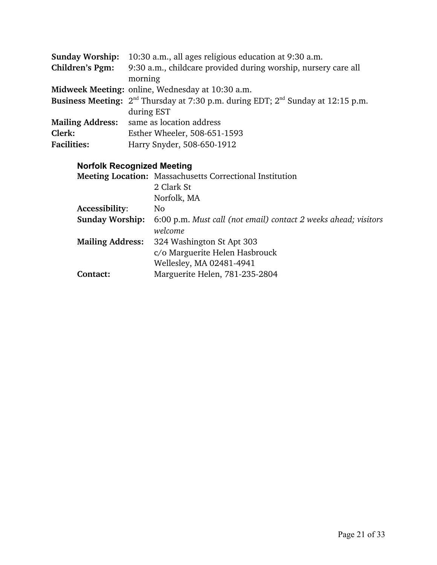| <b>Sunday Worship:</b>  | 10:30 a.m., all ages religious education at 9:30 a.m.                                                    |
|-------------------------|----------------------------------------------------------------------------------------------------------|
| Children's Pgm:         | 9:30 a.m., childcare provided during worship, nursery care all                                           |
|                         | morning                                                                                                  |
|                         | Midweek Meeting: online, Wednesday at 10:30 a.m.                                                         |
|                         | Business Meeting: 2 <sup>nd</sup> Thursday at 7:30 p.m. during EDT; 2 <sup>nd</sup> Sunday at 12:15 p.m. |
|                         | during EST                                                                                               |
| <b>Mailing Address:</b> | same as location address                                                                                 |
| Clerk:                  | Esther Wheeler, 508-651-1593                                                                             |
| <b>Facilities:</b>      | Harry Snyder, 508-650-1912                                                                               |
|                         |                                                                                                          |

# **Norfolk Recognized Meeting**

|                         | Meeting Location: Massachusetts Correctional Institution        |  |
|-------------------------|-----------------------------------------------------------------|--|
|                         | 2 Clark St                                                      |  |
|                         | Norfolk, MA                                                     |  |
| Accessibility:          | No.                                                             |  |
| <b>Sunday Worship:</b>  | 6:00 p.m. Must call (not email) contact 2 weeks ahead; visitors |  |
|                         | welcome                                                         |  |
| <b>Mailing Address:</b> | 324 Washington St Apt 303                                       |  |
|                         | c/o Marguerite Helen Hasbrouck                                  |  |
|                         | Wellesley, MA 02481-4941                                        |  |
| Contact:                | Marguerite Helen, 781-235-2804                                  |  |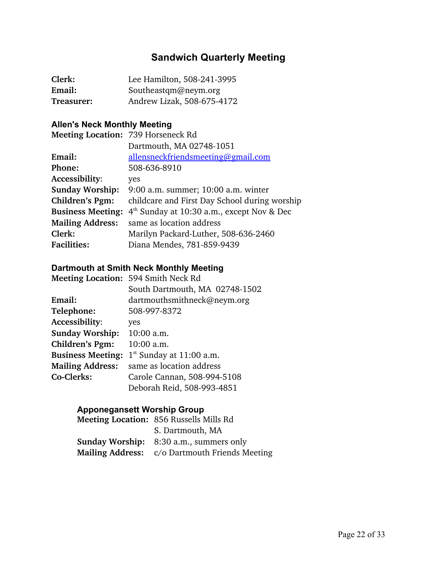# **Sandwich Quarterly Meeting**

| Clerk:     | Lee Hamilton, 508-241-3995 |
|------------|----------------------------|
| Email:     | Southeastqm@neym.org       |
| Treasurer: | Andrew Lizak, 508-675-4172 |

## **Allen's Neck Monthly Meeting**

| Meeting Location: 739 Horseneck Rd            |  |
|-----------------------------------------------|--|
| Dartmouth, MA 02748-1051                      |  |
| allensneckfriendsmeeting@gmail.com            |  |
| 508-636-8910                                  |  |
| yes                                           |  |
| 9:00 a.m. summer; 10:00 a.m. winter           |  |
| childcare and First Day School during worship |  |
| $4th$ Sunday at 10:30 a.m., except Nov & Dec  |  |
| same as location address                      |  |
| Marilyn Packard-Luther, 508-636-2460          |  |
| Diana Mendes, 781-859-9439                    |  |
|                                               |  |

#### **Dartmouth at Smith Neck Monthly Meeting**

|                          | Meeting Location: 594 Smith Neck Rd |
|--------------------------|-------------------------------------|
|                          | South Dartmouth, MA 02748-1502      |
| Email:                   | dartmouthsmithneck@neym.org         |
| Telephone:               | 508-997-8372                        |
| Accessibility:           | yes                                 |
| <b>Sunday Worship:</b>   | 10:00 a.m.                          |
| Children's Pgm:          | 10:00 a.m.                          |
| <b>Business Meeting:</b> | $1st$ Sunday at 11:00 a.m.          |
| <b>Mailing Address:</b>  | same as location address            |
| Co-Clerks:               | Carole Cannan, 508-994-5108         |
|                          | Deborah Reid, 508-993-4851          |

## **Apponegansett Worship Group**

| <b>Meeting Location: 856 Russells Mills Rd</b> |
|------------------------------------------------|
| S. Dartmouth, MA                               |
| <b>Sunday Worship:</b> 8:30 a.m., summers only |
| Mailing Address: c/o Dartmouth Friends Meeting |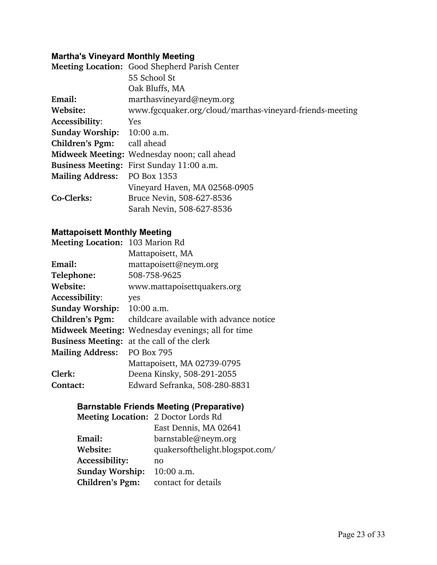## **Martha's Vineyard Monthly Meeting**

|                              | Meeting Location: Good Shepherd Parish Center            |
|------------------------------|----------------------------------------------------------|
|                              | 55 School St                                             |
|                              | Oak Bluffs, MA                                           |
| Email:                       | marthasvineyard@neym.org                                 |
| Website:                     | www.fgcquaker.org/cloud/marthas-vineyard-friends-meeting |
| Accessibility:               | <b>Yes</b>                                               |
| Sunday Worship: 10:00 a.m.   |                                                          |
| Children's Pgm: call ahead   |                                                          |
|                              | Midweek Meeting: Wednesday noon; call ahead              |
|                              | Business Meeting: First Sunday 11:00 a.m.                |
| Mailing Address: PO Box 1353 |                                                          |
|                              | Vineyard Haven, MA 02568-0905                            |
| Co-Clerks:                   | Bruce Nevin, 508-627-8536                                |
|                              | Sarah Nevin, 508-627-8536                                |

## **Mattapoisett Monthly Meeting**

| <b>Meeting Location: 103 Marion Rd</b> |                                                          |
|----------------------------------------|----------------------------------------------------------|
|                                        | Mattapoisett, MA                                         |
| Email:                                 | mattapoisett@neym.org                                    |
| Telephone:                             | 508-758-9625                                             |
| Website:                               | www.mattapoisettquakers.org                              |
| Accessibility:                         | yes                                                      |
| <b>Sunday Worship:</b>                 | $10:00$ a.m.                                             |
| Children's Pgm:                        | childcare available with advance notice                  |
|                                        | <b>Midweek Meeting:</b> Wednesday evenings; all for time |
| <b>Business Meeting:</b>               | at the call of the clerk                                 |
| <b>Mailing Address:</b>                | <b>PO Box 795</b>                                        |
|                                        | Mattapoisett, MA 02739-0795                              |
| Clerk:                                 | Deena Kinsky, 508-291-2055                               |
| Contact:                               | Edward Sefranka, 508-280-8831                            |

## **Barnstable Friends Meeting (Preparative)**

| <b>Meeting Location: 2 Doctor Lords Rd</b> |                                 |
|--------------------------------------------|---------------------------------|
|                                            | East Dennis, MA 02641           |
| Email:                                     | barnstable@neym.org             |
| Website:                                   | quakersofthelight.blogspot.com/ |
| Accessibility:                             | no                              |
| <b>Sunday Worship:</b>                     | 10:00 a.m.                      |
| Children's Pgm:                            | contact for details             |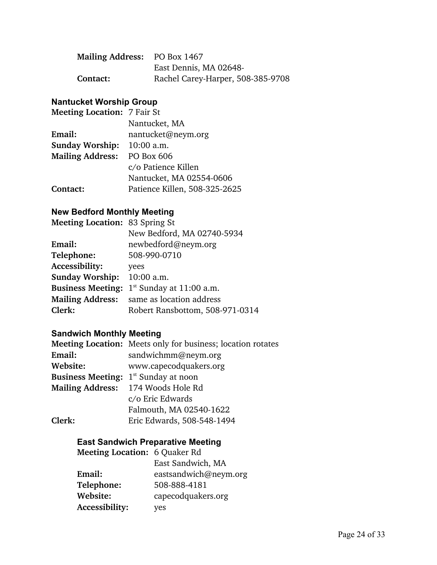| Mailing Address: PO Box 1467 |                                   |
|------------------------------|-----------------------------------|
|                              | East Dennis, MA 02648-            |
| Contact:                     | Rachel Carey-Harper, 508-385-9708 |

#### **Nantucket Worship Group**

| <b>Meeting Location: 7 Fair St</b> |                               |
|------------------------------------|-------------------------------|
|                                    | Nantucket, MA                 |
| Email:                             | nantucket@neym.org            |
| <b>Sunday Worship:</b>             | $10:00$ a.m.                  |
| <b>Mailing Address:</b>            | PO Box 606                    |
|                                    | c/o Patience Killen           |
|                                    | Nantucket, MA 02554-0606      |
| Contact:                           | Patience Killen, 508-325-2625 |

#### **New Bedford Monthly Meeting**

| <b>Meeting Location: 83 Spring St</b> |                                 |
|---------------------------------------|---------------------------------|
|                                       | New Bedford, MA 02740-5934      |
| Email:                                | newbedford@neym.org             |
| Telephone:                            | 508-990-0710                    |
| Accessibility:                        | yees                            |
| <b>Sunday Worship:</b>                | 10:00 a.m.                      |
| <b>Business Meeting:</b>              | $1st$ Sunday at 11:00 a.m.      |
| <b>Mailing Address:</b>               | same as location address        |
| Clerk:                                | Robert Ransbottom, 508-971-0314 |
|                                       |                                 |

#### **Sandwich Monthly Meeting**

|                          | Meeting Location: Meets only for business; location rotates |
|--------------------------|-------------------------------------------------------------|
| Email:                   | sandwichmm@neym.org                                         |
| Website:                 | www.capecodquakers.org                                      |
| <b>Business Meeting:</b> | $1st$ Sunday at noon                                        |
|                          | Mailing Address: 174 Woods Hole Rd                          |
|                          | c/o Eric Edwards                                            |
|                          | Falmouth, MA 02540-1622                                     |
| Clerk:                   | Eric Edwards, 508-548-1494                                  |

#### **East Sandwich Preparative Meeting**

| <b>Meeting Location: 6 Quaker Rd</b> |                       |
|--------------------------------------|-----------------------|
|                                      | East Sandwich, MA     |
| Email:                               | eastsandwich@neym.org |
| Telephone:                           | 508-888-4181          |
| Website:                             | capecodquakers.org    |
| Accessibility:                       | yes                   |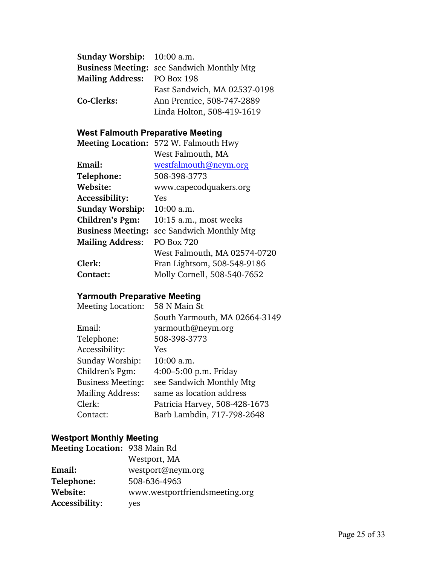| Sunday Worship: 10:00 a.m.  |                                                   |
|-----------------------------|---------------------------------------------------|
|                             | <b>Business Meeting: see Sandwich Monthly Mtg</b> |
| Mailing Address: PO Box 198 |                                                   |
|                             | East Sandwich, MA 02537-0198                      |
| Co-Clerks:                  | Ann Prentice, 508-747-2889                        |
|                             | Linda Holton, 508-419-1619                        |

## **West Falmouth Preparative Meeting**

| Meeting Location: 572 W. Falmouth Hwy |
|---------------------------------------|
| West Falmouth, MA                     |
| westfalmouth@neym.org                 |
| 508-398-3773                          |
| www.capecodquakers.org                |
| <b>Yes</b>                            |
| 10:00 a.m.                            |
| 10:15 a.m., most weeks                |
| see Sandwich Monthly Mtg              |
| <b>PO Box 720</b>                     |
| West Falmouth, MA 02574-0720          |
| Fran Lightsom, 508-548-9186           |
| Molly Cornell, 508-540-7652           |
|                                       |

# **Yarmouth Preparative Meeting**

| <b>Meeting Location:</b> | 58 N Main St                  |
|--------------------------|-------------------------------|
|                          | South Yarmouth, MA 02664-3149 |
| Email:                   | yarmouth@neym.org             |
| Telephone:               | 508-398-3773                  |
| Accessibility:           | Yes                           |
| Sunday Worship:          | 10:00 a.m.                    |
| Children's Pgm:          | 4:00–5:00 p.m. Friday         |
| <b>Business Meeting:</b> | see Sandwich Monthly Mtg      |
| <b>Mailing Address:</b>  | same as location address      |
| Clerk:                   | Patricia Harvey, 508-428-1673 |
| Contact:                 | Barb Lambdin, 717-798-2648    |
|                          |                               |

## **Westport Monthly Meeting**

| Meeting Location: 938 Main Rd |                                |
|-------------------------------|--------------------------------|
|                               | Westport, MA                   |
| Email:                        | westport@neym.org              |
| Telephone:                    | 508-636-4963                   |
| Website:                      | www.westportfriendsmeeting.org |
| Accessibility:                | yes                            |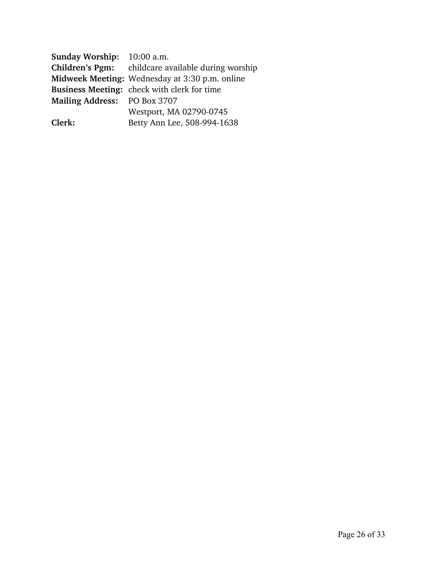| <b>Sunday Worship:</b> 10:00 a.m. |                                                           |
|-----------------------------------|-----------------------------------------------------------|
|                                   | <b>Children's Pgm:</b> childcare available during worship |
|                                   | Midweek Meeting: Wednesday at 3:30 p.m. online            |
|                                   | <b>Business Meeting:</b> check with clerk for time        |
| Mailing Address: PO Box 3707      |                                                           |
|                                   | Westport, MA 02790-0745                                   |
| Clerk:                            | Betty Ann Lee, 508-994-1638                               |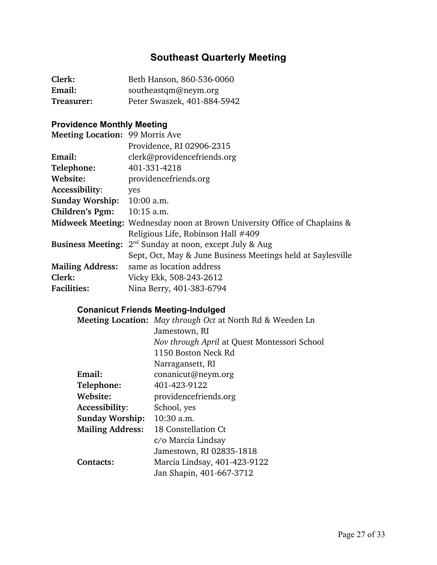# **Southeast Quarterly Meeting**

| Clerk:     | Beth Hanson, 860-536-0060   |
|------------|-----------------------------|
| Email:     | southeastqm@neym.org        |
| Treasurer: | Peter Swaszek, 401-884-5942 |

# **Providence Monthly Meeting**

| <b>Meeting Location: 99 Morris Ave</b> |                                                                                  |
|----------------------------------------|----------------------------------------------------------------------------------|
|                                        | Providence, RI 02906-2315                                                        |
| Email:                                 | clerk@providencefriends.org                                                      |
| Telephone:                             | 401-331-4218                                                                     |
| Website:                               | providencefriends.org                                                            |
| Accessibility:                         | yes                                                                              |
| Sunday Worship: 10:00 a.m.             |                                                                                  |
| <b>Children's Pgm:</b>                 | $10:15$ a.m.                                                                     |
|                                        | <b>Midweek Meeting:</b> Wednesday noon at Brown University Office of Chaplains & |
|                                        | Religious Life, Robinson Hall #409                                               |
|                                        | <b>Business Meeting:</b> $2^{nd}$ Sunday at noon, except July & Aug              |
|                                        | Sept, Oct, May & June Business Meetings held at Saylesville                      |
| <b>Mailing Address:</b>                | same as location address                                                         |
| Clerk:                                 | Vicky Ekk, 508-243-2612                                                          |
| <b>Facilities:</b>                     | Nina Berry, 401-383-6794                                                         |

## **Conanicut Friends Meeting-Indulged**

|                         | Meeting Location: May through Oct at North Rd & Weeden Ln |
|-------------------------|-----------------------------------------------------------|
|                         | Jamestown, RI                                             |
|                         | Nov through April at Quest Montessori School              |
|                         | 1150 Boston Neck Rd                                       |
|                         | Narragansett, RI                                          |
| Email:                  | conanicut@neym.org                                        |
| Telephone:              | 401-423-9122                                              |
| Website:                | providencefriends.org                                     |
| Accessibility:          | School, yes                                               |
| <b>Sunday Worship:</b>  | $10:30$ a.m.                                              |
| <b>Mailing Address:</b> | 18 Constellation Ct                                       |
|                         | c/o Marcia Lindsay                                        |
|                         | Jamestown, RI 02835-1818                                  |
| Contacts:               | Marcia Lindsay, 401-423-9122                              |
|                         | Jan Shapin, 401-667-3712                                  |
|                         |                                                           |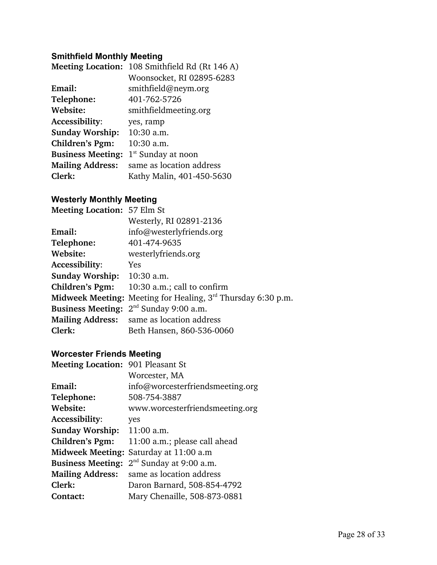#### **Smithfield Monthly Meeting**

|                          | Meeting Location: 108 Smithfield Rd (Rt 146 A) |
|--------------------------|------------------------------------------------|
|                          | Woonsocket, RI 02895-6283                      |
| Email:                   | smithfield@neym.org                            |
| Telephone:               | 401-762-5726                                   |
| Website:                 | smithfieldmeeting.org                          |
| Accessibility:           | yes, ramp                                      |
| <b>Sunday Worship:</b>   | 10:30 a.m.                                     |
| Children's Pgm:          | 10:30 a.m.                                     |
| <b>Business Meeting:</b> | $1st$ Sunday at noon                           |
| <b>Mailing Address:</b>  | same as location address                       |
| Clerk:                   | Kathy Malin, 401-450-5630                      |

#### **Westerly Monthly Meeting**

| <b>Meeting Location: 57 Elm St</b> |                                                                |
|------------------------------------|----------------------------------------------------------------|
|                                    | Westerly, RI 02891-2136                                        |
| Email:                             | info@westerlyfriends.org                                       |
| Telephone:                         | 401-474-9635                                                   |
| Website:                           | westerlyfriends.org                                            |
| Accessibility:                     | Yes                                                            |
| Sunday Worship: 10:30 a.m.         |                                                                |
| Children's Pgm:                    | 10:30 a.m.; call to confirm                                    |
|                                    | Midweek Meeting: Meeting for Healing, $3rd$ Thursday 6:30 p.m. |
|                                    | <b>Business Meeting:</b> $2^{nd}$ Sunday 9:00 a.m.             |
|                                    | Mailing Address: same as location address                      |
| Clerk:                             | Beth Hansen, 860-536-0060                                      |

# **Worcester Friends Meeting**

| <b>Meeting Location: 901 Pleasant St</b> |                                        |
|------------------------------------------|----------------------------------------|
|                                          | Worcester, MA                          |
| Email:                                   | info@worcesterfriendsmeeting.org       |
| Telephone:                               | 508-754-3887                           |
| Website:                                 | www.worcesterfriendsmeeting.org        |
| Accessibility:                           | yes                                    |
| <b>Sunday Worship:</b>                   | 11:00 a.m.                             |
| Children's Pgm:                          | 11:00 a.m.; please call ahead          |
|                                          | Midweek Meeting: Saturday at 11:00 a.m |
| <b>Business Meeting:</b>                 | $2nd$ Sunday at 9:00 a.m.              |
| <b>Mailing Address:</b>                  | same as location address               |
| Clerk:                                   | Daron Barnard, 508-854-4792            |
| Contact:                                 | Mary Chenaille, 508-873-0881           |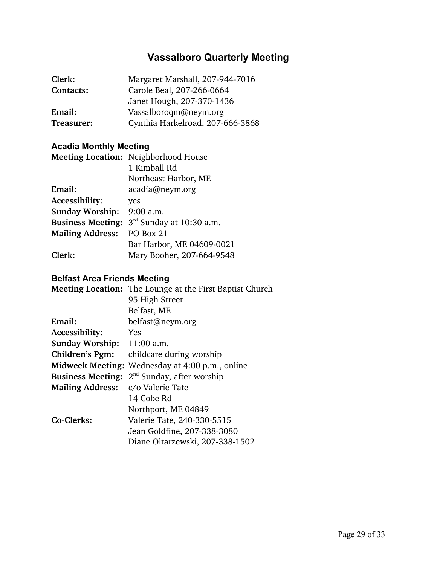# **Vassalboro Quarterly Meeting**

| Clerk:     | Margaret Marshall, 207-944-7016  |
|------------|----------------------------------|
| Contacts:  | Carole Beal, 207-266-0664        |
|            | Janet Hough, 207-370-1436        |
| Email:     | Vassalboroqm@neym.org            |
| Treasurer: | Cynthia Harkelroad, 207-666-3868 |

## **Acadia Monthly Meeting**

|                          | <b>Meeting Location:</b> Neighborhood House |
|--------------------------|---------------------------------------------|
|                          | 1 Kimball Rd                                |
|                          | Northeast Harbor, ME                        |
| Email:                   | acadia@neym.org                             |
| Accessibility:           | yes                                         |
| <b>Sunday Worship:</b>   | $9:00$ a.m.                                 |
| <b>Business Meeting:</b> | 3 <sup>rd</sup> Sunday at 10:30 a.m.        |
| <b>Mailing Address:</b>  | PO Box 21                                   |
|                          | Bar Harbor, ME 04609-0021                   |
| Clerk:                   | Mary Booher, 207-664-9548                   |

#### **Belfast Area Friends Meeting**

|                            | <b>Meeting Location:</b> The Lounge at the First Baptist Church |
|----------------------------|-----------------------------------------------------------------|
|                            | 95 High Street                                                  |
|                            | Belfast, ME                                                     |
| Email:                     | belfast@neym.org                                                |
| Accessibility:             | <b>Yes</b>                                                      |
| Sunday Worship: 11:00 a.m. |                                                                 |
| Children's Pgm:            | childcare during worship                                        |
| <b>Midweek Meeting:</b>    | Wednesday at 4:00 p.m., online                                  |
| <b>Business Meeting:</b>   | $2nd$ Sunday, after worship                                     |
| <b>Mailing Address:</b>    | c/o Valerie Tate                                                |
|                            | 14 Cobe Rd                                                      |
|                            | Northport, ME 04849                                             |
| Co-Clerks:                 | Valerie Tate, 240-330-5515                                      |
|                            | Jean Goldfine, 207-338-3080                                     |
|                            | Diane Oltarzewski, 207-338-1502                                 |
|                            |                                                                 |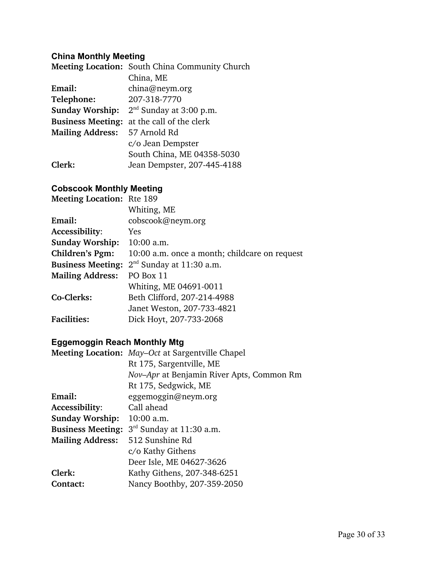## **China Monthly Meeting**

|                               | Meeting Location: South China Community Church      |
|-------------------------------|-----------------------------------------------------|
|                               | China, ME                                           |
| Email:                        | china@neym.org                                      |
| Telephone:                    | 207-318-7770                                        |
|                               | <b>Sunday Worship:</b> $2^{nd}$ Sunday at 3:00 p.m. |
| <b>Business Meeting:</b>      | at the call of the clerk                            |
| Mailing Address: 57 Arnold Rd |                                                     |
|                               | c/o Jean Dempster                                   |
|                               | South China, ME 04358-5030                          |
| Clerk:                        | Jean Dempster, 207-445-4188                         |

#### **Cobscook Monthly Meeting**

| <b>Meeting Location:</b> Rte 189 |                                               |
|----------------------------------|-----------------------------------------------|
|                                  | Whiting, ME                                   |
| Email:                           | cobscook@neym.org                             |
| Accessibility:                   | Yes                                           |
| <b>Sunday Worship:</b>           | $10:00$ a.m.                                  |
| Children's Pgm:                  | 10:00 a.m. once a month; childcare on request |
| <b>Business Meeting:</b>         | $2nd$ Sunday at 11:30 a.m.                    |
| <b>Mailing Address:</b>          | PO Box 11                                     |
|                                  | Whiting, ME 04691-0011                        |
| Co-Clerks:                       | Beth Clifford, 207-214-4988                   |
|                                  | Janet Weston, 207-733-4821                    |
| <b>Facilities:</b>               | Dick Hoyt, 207-733-2068                       |

## **Eggemoggin Reach Monthly Mtg**

|                          | <b>Meeting Location:</b> May–Oct at Sargentville Chapel |
|--------------------------|---------------------------------------------------------|
|                          | Rt 175, Sargentville, ME                                |
|                          | Nov-Apr at Benjamin River Apts, Common Rm               |
|                          | Rt 175, Sedgwick, ME                                    |
| Email:                   | eggemoggin@neym.org                                     |
| Accessibility:           | Call ahead                                              |
| <b>Sunday Worship:</b>   | $10:00$ a.m.                                            |
| <b>Business Meeting:</b> | $3rd$ Sunday at 11:30 a.m.                              |
| <b>Mailing Address:</b>  | 512 Sunshine Rd                                         |
|                          | c/o Kathy Githens                                       |
|                          | Deer Isle, ME 04627-3626                                |
| Clerk:                   | Kathy Githens, 207-348-6251                             |
| Contact:                 | Nancy Boothby, 207-359-2050                             |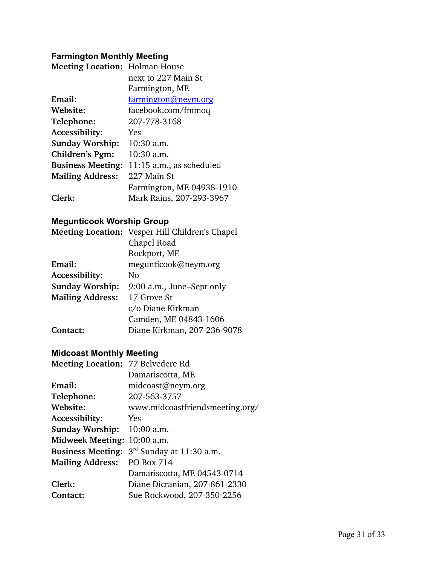## **Farmington Monthly Meeting**

| <b>Meeting Location: Holman House</b> |                           |
|---------------------------------------|---------------------------|
|                                       | next to 227 Main St       |
|                                       | Farmington, ME            |
| Email:                                | farmington@neym.org       |
| Website:                              | facebook.com/fmmoq        |
| Telephone:                            | 207-778-3168              |
| <b>Accessibility:</b>                 | Yes                       |
| <b>Sunday Worship:</b>                | 10:30 a.m.                |
| Children's Pgm:                       | $10:30$ a.m.              |
| <b>Business Meeting:</b>              | 11:15 a.m., as scheduled  |
| <b>Mailing Address:</b>               | 227 Main St               |
|                                       | Farmington, ME 04938-1910 |
| Clerk:                                | Mark Rains, 207-293-3967  |

## **Megunticook Worship Group**

|                         | Meeting Location: Vesper Hill Children's Chapel |
|-------------------------|-------------------------------------------------|
|                         | Chapel Road                                     |
|                         | Rockport, ME                                    |
| Email:                  | megunticook@neym.org                            |
| Accessibility:          | No                                              |
| <b>Sunday Worship:</b>  | 9:00 a.m., June-Sept only                       |
| <b>Mailing Address:</b> | 17 Grove St                                     |
|                         | c/o Diane Kirkman                               |
|                         | Camden, ME 04843-1606                           |
| Contact:                | Diane Kirkman, 207-236-9078                     |

#### **Midcoast Monthly Meeting**

| Meeting Location: 77 Belvedere Rd |                                      |
|-----------------------------------|--------------------------------------|
|                                   | Damariscotta, ME                     |
| Email:                            | midcoast@neym.org                    |
| Telephone:                        | 207-563-3757                         |
| Website:                          | www.midcoastfriendsmeeting.org/      |
| Accessibility:                    | <b>Yes</b>                           |
| <b>Sunday Worship:</b>            | 10:00 a.m.                           |
| <b>Midweek Meeting:</b>           | 10:00 a.m.                           |
| <b>Business Meeting:</b>          | 3 <sup>rd</sup> Sunday at 11:30 a.m. |
| <b>Mailing Address:</b>           | <b>PO Box 714</b>                    |
|                                   | Damariscotta, ME 04543-0714          |
| Clerk:                            | Diane Dicranian, 207-861-2330        |
| Contact:                          | Sue Rockwood, 207-350-2256           |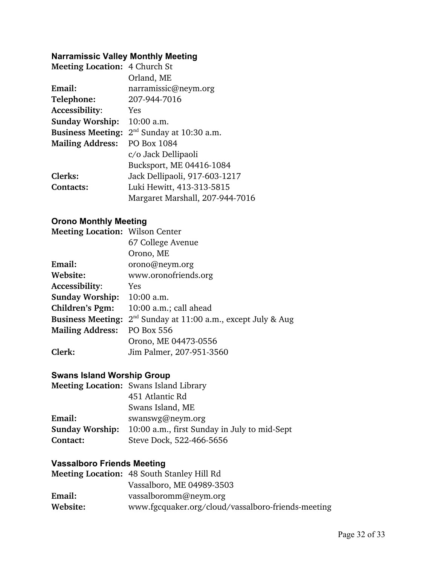# **Narramissic Valley Monthly Meeting**

| <b>Meeting Location: 4 Church St</b> |                                 |
|--------------------------------------|---------------------------------|
|                                      | Orland, ME                      |
| Email:                               | narramissic@neym.org            |
| Telephone:                           | 207-944-7016                    |
| Accessibility:                       | Yes                             |
| <b>Sunday Worship:</b>               | $10:00$ a.m.                    |
| <b>Business Meeting:</b>             | $2nd$ Sunday at 10:30 a.m.      |
| <b>Mailing Address:</b>              | PO Box 1084                     |
|                                      | c/o Jack Dellipaoli             |
|                                      | Bucksport, ME 04416-1084        |
| Clerks:                              | Jack Dellipaoli, 917-603-1217   |
| <b>Contacts:</b>                     | Luki Hewitt, 413-313-5815       |
|                                      | Margaret Marshall, 207-944-7016 |

## **Orono Monthly Meeting**

| <b>Meeting Location: Wilson Center</b> |                                               |
|----------------------------------------|-----------------------------------------------|
|                                        | 67 College Avenue                             |
|                                        | Orono, ME                                     |
| Email:                                 | orono@neym.org                                |
| Website:                               | www.oronofriends.org                          |
| Accessibility:                         | Yes                                           |
| <b>Sunday Worship:</b>                 | $10:00$ a.m.                                  |
| Children's Pgm:                        | 10:00 a.m.; call ahead                        |
| <b>Business Meeting:</b>               | $2nd$ Sunday at 11:00 a.m., except July & Aug |
| <b>Mailing Address:</b>                | <b>PO Box 556</b>                             |
|                                        | Orono, ME 04473-0556                          |
| Clerk:                                 | Jim Palmer, 207-951-3560                      |

## **Swans Island Worship Group**

|                        | <b>Meeting Location: Swans Island Library</b> |
|------------------------|-----------------------------------------------|
|                        | 451 Atlantic Rd                               |
|                        | Swans Island, ME                              |
| Email:                 | swanswg@neym.org                              |
| <b>Sunday Worship:</b> | 10:00 a.m., first Sunday in July to mid-Sept  |
| Contact:               | Steve Dock, 522-466-5656                      |

#### **Vassalboro Friends Meeting**

|          | <b>Meeting Location: 48 South Stanley Hill Rd</b>  |
|----------|----------------------------------------------------|
|          | Vassalboro, ME 04989-3503                          |
| Email:   | vassalboromm@neym.org                              |
| Website: | www.fgcquaker.org/cloud/vassalboro-friends-meeting |